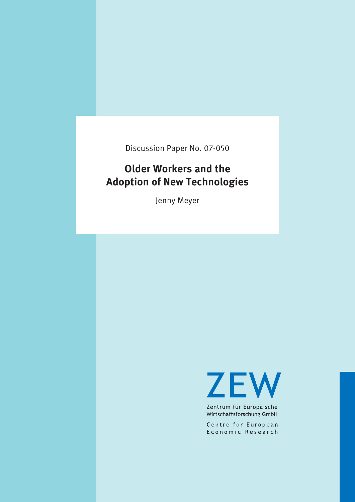Discussion Paper No. 07-050

# **Older Workers and the Adoption of New Technologies**

Jenny Meyer

**ZEW** 

Zentrum für Europäische Wirtschaftsforschung GmbH

Centre for European Economic Research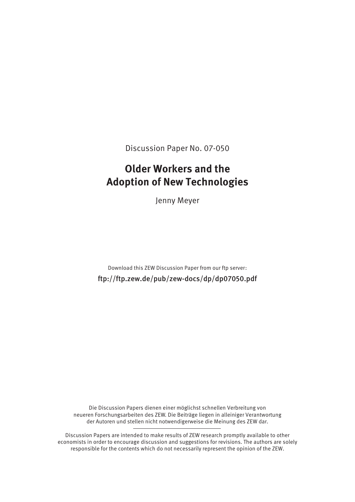Discussion Paper No. 07-050

## **Older Workers and the Adoption of New Technologies**

Jenny Meyer

Download this ZEW Discussion Paper from our ftp server: ftp://ftp.zew.de/pub/zew-docs/dp/dp07050.pdf

Die Discussion Papers dienen einer möglichst schnellen Verbreitung von neueren Forschungsarbeiten des ZEW. Die Beiträge liegen in alleiniger Verantwortung der Autoren und stellen nicht notwendigerweise die Meinung des ZEW dar.

Discussion Papers are intended to make results of ZEW research promptly available to other economists in order to encourage discussion and suggestions for revisions. The authors are solely responsible for the contents which do not necessarily represent the opinion of the ZEW.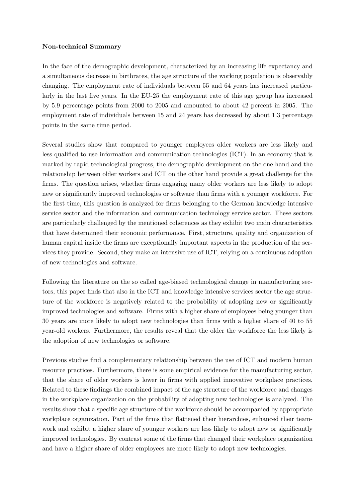#### <span id="page-2-0"></span>Non-technical Summary

In the face of the demographic development, characterized by an increasing life expectancy and a simultaneous decrease in birthrates, the age structure of the working population is observably changing. The employment rate of individuals between 55 and 64 years has increased particularly in the last five years. In the EU-25 the employment rate of this age group has increased by 5.9 percentage points from 2000 to 2005 and amounted to about 42 percent in 2005. The employment rate of individuals between 15 and 24 years has decreased by about 1.3 percentage points in the same time period.

Several studies show that compared to younger employees older workers are less likely and less qualified to use information and communication technologies (ICT). In an economy that is marked by rapid technological progress, the demographic development on the one hand and the relationship between older workers and ICT on the other hand provide a great challenge for the firms. The question arises, whether firms engaging many older workers are less likely to adopt new or significantly improved technologies or software than firms with a younger workforce. For the first time, this question is analyzed for firms belonging to the German knowledge intensive service sector and the information and communication technology service sector. These sectors are particularly challenged by the mentioned coherences as they exhibit two main characteristics that have determined their economic performance. First, structure, quality and organization of human capital inside the firms are exceptionally important aspects in the production of the services they provide. Second, they make an intensive use of ICT, relying on a continuous adoption of new technologies and software.

Following the literature on the so called age-biased technological change in manufacturing sectors, this paper finds that also in the ICT and knowledge intensive services sector the age structure of the workforce is negatively related to the probability of adopting new or significantly improved technologies and software. Firms with a higher share of employees being younger than 30 years are more likely to adopt new technologies than firms with a higher share of 40 to 55 year-old workers. Furthermore, the results reveal that the older the workforce the less likely is the adoption of new technologies or software.

Previous studies find a complementary relationship between the use of ICT and modern human resource practices. Furthermore, there is some empirical evidence for the manufacturing sector, that the share of older workers is lower in firms with applied innovative workplace practices. Related to these findings the combined impact of the age structure of the workforce and changes in the workplace organization on the probability of adopting new technologies is analyzed. The results show that a specific age structure of the workforce should be accompanied by appropriate workplace organization. Part of the firms that flattened their hierarchies, enhanced their teamwork and exhibit a higher share of younger workers are less likely to adopt new or significantly improved technologies. By contrast some of the firms that changed their workplace organization and have a higher share of older employees are more likely to adopt new technologies.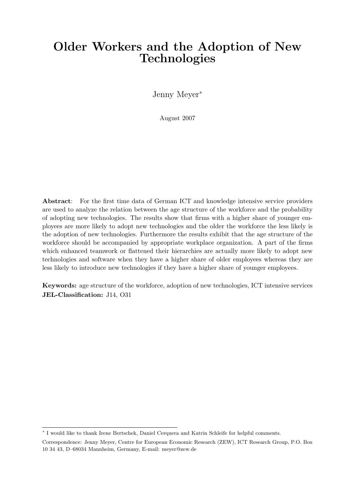## Older Workers and the Adoption of New Technologies

Jenny Meyer<sup>∗</sup>

August 2007

Abstract: For the first time data of German ICT and knowledge intensive service providers are used to analyze the relation between the age structure of the workforce and the probability of adopting new technologies. The results show that firms with a higher share of younger employees are more likely to adopt new technologies and the older the workforce the less likely is the adoption of new technologies. Furthermore the results exhibit that the age structure of the workforce should be accompanied by appropriate workplace organization. A part of the firms which enhanced teamwork or flattened their hierarchies are actually more likely to adopt new technologies and software when they have a higher share of older employees whereas they are less likely to introduce new technologies if they have a higher share of younger employees.

Keywords: age structure of the workforce, adoption of new technologies, ICT intensive services JEL-Classification: J14, O31

<sup>∗</sup> I would like to thank Irene Bertschek, Daniel Cerquera and Katrin Schleife for helpful comments.

Correspondence: Jenny Meyer, Centre for European Economic Research (ZEW), ICT Research Group, P.O. Box 10 34 43, D–68034 Mannheim, Germany, E-mail: meyer@zew.de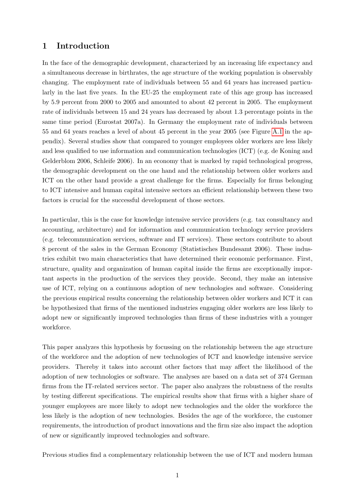### 1 Introduction

In the face of the demographic development, characterized by an increasing life expectancy and a simultaneous decrease in birthrates, the age structure of the working population is observably changing. The employment rate of individuals between 55 and 64 years has increased particularly in the last five years. In the EU-25 the employment rate of this age group has increased by 5.9 percent from 2000 to 2005 and amounted to about 42 percent in 2005. The employment rate of individuals between 15 and 24 years has decreased by about 1.3 percentage points in the same time period (Eurostat 2007a). In Germany the employment rate of individuals between 55 and 64 years reaches a level of about 45 percent in the year 2005 (see Figure [A.1](#page-22-0) in the appendix). Several studies show that compared to younger employees older workers are less likely and less qualified to use information and communication technologies (ICT) (e.g. de Koning and Gelderblom 2006, Schleife 2006). In an economy that is marked by rapid technological progress, the demographic development on the one hand and the relationship between older workers and ICT on the other hand provide a great challenge for the firms. Especially for firms belonging to ICT intensive and human capital intensive sectors an efficient relationship between these two factors is crucial for the successful development of those sectors.

In particular, this is the case for knowledge intensive service providers (e.g. tax consultancy and accounting, architecture) and for information and communication technology service providers (e.g. telecommunication services, software and IT services). These sectors contribute to about 8 percent of the sales in the German Economy (Statistisches Bundesamt 2006). These industries exhibit two main characteristics that have determined their economic performance. First, structure, quality and organization of human capital inside the firms are exceptionally important aspects in the production of the services they provide. Second, they make an intensive use of ICT, relying on a continuous adoption of new technologies and software. Considering the previous empirical results concerning the relationship between older workers and ICT it can be hypothesized that firms of the mentioned industries engaging older workers are less likely to adopt new or significantly improved technologies than firms of these industries with a younger workforce.

This paper analyzes this hypothesis by focussing on the relationship between the age structure of the workforce and the adoption of new technologies of ICT and knowledge intensive service providers. Thereby it takes into account other factors that may affect the likelihood of the adoption of new technologies or software. The analyses are based on a data set of 374 German firms from the IT-related services sector. The paper also analyzes the robustness of the results by testing different specifications. The empirical results show that firms with a higher share of younger employees are more likely to adopt new technologies and the older the workforce the less likely is the adoption of new technologies. Besides the age of the workforce, the customer requirements, the introduction of product innovations and the firm size also impact the adoption of new or significantly improved technologies and software.

Previous studies find a complementary relationship between the use of ICT and modern human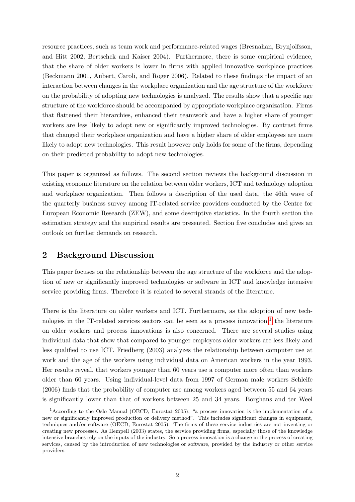resource practices, such as team work and performance-related wages (Bresnahan, Brynjolfsson, and Hitt 2002, Bertschek and Kaiser 2004). Furthermore, there is some empirical evidence, that the share of older workers is lower in firms with applied innovative workplace practices (Beckmann 2001, Aubert, Caroli, and Roger 2006). Related to these findings the impact of an interaction between changes in the workplace organization and the age structure of the workforce on the probability of adopting new technologies is analyzed. The results show that a specific age structure of the workforce should be accompanied by appropriate workplace organization. Firms that flattened their hierarchies, enhanced their teamwork and have a higher share of younger workers are less likely to adopt new or significantly improved technologies. By contrast firms that changed their workplace organization and have a higher share of older employees are more likely to adopt new technologies. This result however only holds for some of the firms, depending on their predicted probability to adopt new technologies.

This paper is organized as follows. The second section reviews the background discussion in existing economic literature on the relation between older workers, ICT and technology adoption and workplace organization. Then follows a description of the used data, the 46th wave of the quarterly business survey among IT-related service providers conducted by the Centre for European Economic Research (ZEW), and some descriptive statistics. In the fourth section the estimation strategy and the empirical results are presented. Section five concludes and gives an outlook on further demands on research.

### 2 Background Discussion

This paper focuses on the relationship between the age structure of the workforce and the adoption of new or significantly improved technologies or software in ICT and knowledge intensive service providing firms. Therefore it is related to several strands of the literature.

There is the literature on older workers and ICT. Furthermore, as the adoption of new tech-nologies in the IT-related services sectors can be seen as a process innovation,<sup>[1](#page-2-0)</sup> the literature on older workers and process innovations is also concerned. There are several studies using individual data that show that compared to younger employees older workers are less likely and less qualified to use ICT. Friedberg (2003) analyzes the relationship between computer use at work and the age of the workers using individual data on American workers in the year 1993. Her results reveal, that workers younger than 60 years use a computer more often than workers older than 60 years. Using individual-level data from 1997 of German male workers Schleife (2006) finds that the probability of computer use among workers aged between 55 and 64 years is significantly lower than that of workers between 25 and 34 years. Borghans and ter Weel

<sup>&</sup>lt;sup>1</sup>According to the Oslo Manual (OECD, Eurostat 2005), "a process innovation is the implementation of a new or significantly improved production or delivery method". This includes significant changes in equipment, techniques and/or software (OECD, Eurostat 2005). The firms of these service industries are not inventing or creating new processes. As Hempell (2003) states, the service providing firms, especially those of the knowledge intensive branches rely on the inputs of the industry. So a process innovation is a change in the process of creating services, caused by the introduction of new technologies or software, provided by the industry or other service providers.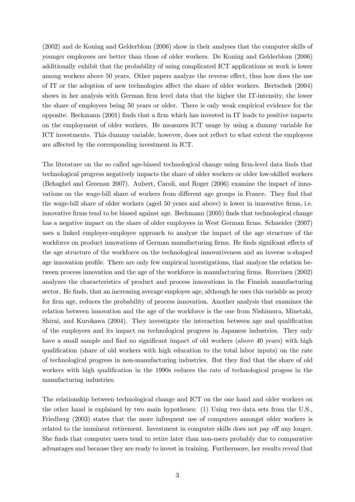(2002) and de Koning and Gelderblom (2006) show in their analyses that the computer skills of younger employees are better than those of older workers. De Koning and Gelderblom (2006) additionally exhibit that the probability of using complicated ICT applications at work is lower among workers above 50 years. Other papers analyze the reverse effect, thus how does the use of IT or the adoption of new technologies affect the share of older workers. Bertschek (2004) shows in her analysis with German firm level data that the higher the IT-intensity, the lower the share of employees being 50 years or older. There is only weak empirical evidence for the opposite. Beckmann (2001) finds that a firm which has invested in IT leads to positive impacts on the employment of older workers. He measures ICT usage by using a dummy variable for ICT investments. This dummy variable, however, does not reflect to what extent the employees are affected by the corresponding investment in ICT.

The literature on the so called age-biased technological change using firm-level data finds that technological progress negatively impacts the share of older workers or older low-skilled workers (Behaghel and Greenan 2007). Aubert, Caroli, and Roger (2006) examine the impact of innovations on the wage-bill share of workers from different age groups in France. They find that the wage-bill share of older workers (aged 50 years and above) is lower in innovative firms, i.e. innovative firms tend to be biased against age. Beckmann (2005) finds that technological change has a negative impact on the share of older employees in West German firms. Schneider (2007) uses a linked employer-employee approach to analyze the impact of the age structure of the workforce on product innovations of German manufacturing firms. He finds signifcant effects of the age structure of the workforce on the technological innovativeness and an inverse u-shaped age innovation profile. There are only few empirical investigations, that analyze the relation between process innovation and the age of the workforce in manufacturing firms. Rouvinen (2002) analyzes the characteristics of product and process innovations in the Finnish manufacturing sector. He finds, that an increasing average employee age, although he uses this variable as proxy for firm age, reduces the probability of process innovation. Another analysis that examines the relation between innovation and the age of the workforce is the one from Nishimura, Minetaki, Shirai, and Kurokawa (2004). They investigate the interaction between age and qualification of the employees and its impact on technological progress in Japanese industries. They only have a small sample and find no significant impact of old workers (above 40 years) with high qualification (share of old workers with high education to the total labor inputs) on the rate of technological progress in non-manufacturing industries. But they find that the share of old workers with high qualification in the 1990s reduces the rate of technological progess in the manufacturing industries.

The relationship between technological change and ICT on the one hand and older workers on the other hand is explained by two main hypotheses: (1) Using two data sets from the U.S., Friedberg (2003) states that the more infrequent use of computers amongst older workers is related to the imminent retirement. Investment in computer skills does not pay off any longer. She finds that computer users tend to retire later than non-users probably due to comparative advantages and because they are ready to invest in training. Furthermore, her results reveal that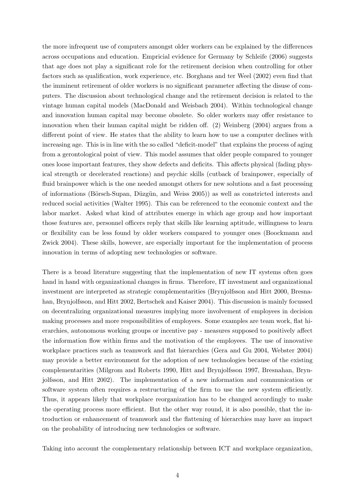the more infrequent use of computers amongst older workers can be explained by the differences across occupations and education. Empricial evidence for Germany by Schleife (2006) suggests that age does not play a significant role for the retirement decision when controlling for other factors such as qualification, work experience, etc. Borghans and ter Weel (2002) even find that the imminent retirement of older workers is no significant parameter affecting the disuse of computers. The discussion about technological change and the retirement decision is related to the vintage human capital models (MacDonald and Weisbach 2004). Within technological change and innovation human capital may become obsolete. So older workers may offer resistance to innovation when their human capital might be ridden off. (2) Weinberg (2004) argues from a different point of view. He states that the ability to learn how to use a computer declines with increasing age. This is in line with the so called "deficit-model" that explains the process of aging from a gerontological point of view. This model assumes that older people compared to younger ones loose important features, they show defects and deficits. This affects physical (fading physical strength or decelerated reactions) and psychic skills (cutback of brainpower, especially of fluid brainpower which is the one needed amongst others for new solutions and a fast processing of informations (B¨orsch-Supan, D¨uzg¨un, and Weiss 2005)) as well as constricted interests and reduced social activities (Walter 1995). This can be referenced to the economic context and the labor market. Asked what kind of attributes emerge in which age group and how important those features are, personnel officers reply that skills like learning aptitude, willingness to learn or flexibility can be less found by older workers compared to younger ones (Boockmann and Zwick 2004). These skills, however, are especially important for the implementation of process innovation in terms of adopting new technologies or software.

There is a broad literature suggesting that the implementation of new IT systems often goes hand in hand with organizational changes in firms. Therefore, IT investment and organizational investment are interpreted as strategic complementarities (Brynjolfsson and Hitt 2000, Bresnahan, Brynjolfsson, and Hitt 2002, Bertschek and Kaiser 2004). This discussion is mainly focussed on decentralizing organizational measures implying more involvement of employees in decision making processes and more responsibilities of employees. Some examples are team work, flat hierarchies, autonomous working groups or incentive pay - measures supposed to positively affect the information flow within firms and the motivation of the employees. The use of innovative workplace practices such as teamwork and flat hierarchies (Gera and Gu 2004, Webster 2004) may provide a better environment for the adoption of new technologies because of the existing complementarities (Milgrom and Roberts 1990, Hitt and Brynjolfsson 1997, Bresnahan, Brynjolfsson, and Hitt 2002). The implementation of a new information and communication or software system often requires a restructuring of the firm to use the new system efficiently. Thus, it appears likely that workplace reorganization has to be changed accordingly to make the operating process more efficient. But the other way round, it is also possible, that the introduction or enhancement of teamwork and the flattening of hierarchies may have an impact on the probability of introducing new technologies or software.

Taking into account the complementary relationship between ICT and workplace organization,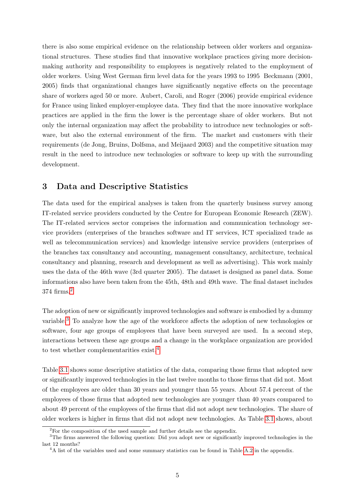there is also some empirical evidence on the relationship between older workers and organizational structures. These studies find that innovative workplace practices giving more decisionmaking authority and responsibility to employees is negatively related to the employment of older workers. Using West German firm level data for the years 1993 to 1995 Beckmann (2001, 2005) finds that organizational changes have significantly negative effects on the precentage share of workers aged 50 or more. Aubert, Caroli, and Roger (2006) provide empirical evidence for France using linked employer-employee data. They find that the more innovative workplace practices are applied in the firm the lower is the percentage share of older workers. But not only the internal organization may affect the probability to introduce new technologies or software, but also the external environment of the firm. The market and customers with their requirements (de Jong, Bruins, Dolfsma, and Meijaard 2003) and the competitive situation may result in the need to introduce new technologies or software to keep up with the surrounding development.

### 3 Data and Descriptive Statistics

The data used for the empirical analyses is taken from the quarterly business survey among IT-related service providers conducted by the Centre for European Economic Research (ZEW). The IT-related services sector comprises the information and communication technology service providers (enterprises of the branches software and IT services, ICT specialized trade as well as telecommunication services) and knowledge intensive service providers (enterprises of the branches tax consultancy and accounting, management consultancy, architecture, technical consultancy and planning, research and development as well as advertising). This work mainly uses the data of the 46th wave (3rd quarter 2005). The dataset is designed as panel data. Some informations also have been taken from the 45th, 48th and 49th wave. The final dataset includes 374 firms.[2](#page-2-0)

The adoption of new or significantly improved technologies and software is embodied by a dummy variable.[3](#page-2-0) To analyze how the age of the workforce affects the adoption of new technologies or software, four age groups of employees that have been surveyed are used. In a second step, interactions between these age groups and a change in the workplace organization are provided to test whether complementarities exist.<sup>[4](#page-2-0)</sup>

Table [3.1](#page-9-0) shows some descriptive statistics of the data, comparing those firms that adopted new or significantly improved technologies in the last twelve months to those firms that did not. Most of the employees are older than 30 years and younger than 55 years. About 57.4 percent of the employees of those firms that adopted new technologies are younger than 40 years compared to about 49 percent of the employees of the firms that did not adopt new technologies. The share of older workers is higher in firms that did not adopt new technologies. As Table [3.1](#page-9-0) shows, about

<sup>&</sup>lt;sup>2</sup>For the composition of the used sample and further details see the appendix.

<sup>&</sup>lt;sup>3</sup>The firms answered the following question: Did you adopt new or significantly improved technologies in the last 12 months?

<sup>&</sup>lt;sup>4</sup>A list of the variables used and some summary statistics can be found in Table [A.2](#page-23-0) in the appendix.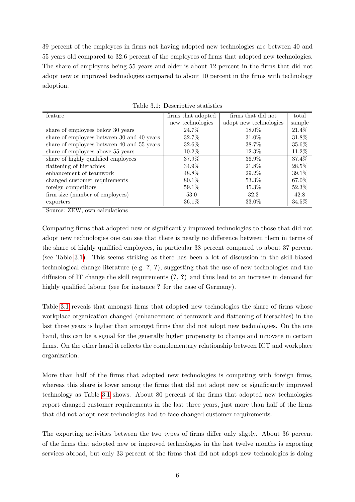39 percent of the employees in firms not having adopted new technologies are between 40 and 55 years old compared to 32.6 percent of the employees of firms that adopted new technologies. The share of employees being 55 years and older is about 12 percent in the firms that did not adopt new or improved technologies compared to about 10 percent in the firms with technology adoption.

| feature                                        | firms that adopted | firms that did not     | total    |
|------------------------------------------------|--------------------|------------------------|----------|
|                                                | new technologies   | adopt new technologies | sample   |
| share of employees below $\overline{30}$ years | 24.7%              | 18.0%                  | 21.4%    |
| share of employees between 30 and 40 years     | 32.7%              | 31.0%                  | 31.8%    |
| share of employees between 40 and 55 years     | 32.6%              | 38.7%                  | 35.6%    |
| share of employees above 55 years              | 10.2%              | 12.3%                  | 11.2%    |
| share of highly qualified employees            | 37.9%              | $36.9\%$               | 37.4%    |
| flattening of hierachies                       | 34.9%              | 21.8%                  | 28.5%    |
| enhancement of teamwork                        | 48.8%              | 29.2%                  | $39.1\%$ |
| changed customer requirements                  | 80.1\%             | 53.3%                  | 67.0%    |
| foreign competitors                            | 59.1%              | 45.3%                  | 52.3%    |
| firm size (number of employees)                | 53.0               | 32.3                   | 42.8     |
| exporters                                      | 36.1%              | 33.0%                  | 34.5%    |

<span id="page-9-0"></span>Table 3.1: Descriptive statistics

Source: ZEW, own calculations

Comparing firms that adopted new or significantly improved technologies to those that did not adopt new technologies one can see that there is nearly no difference between them in terms of the share of highly qualified employees, in particular 38 percent compared to about 37 percent (see Table [3.1\)](#page-9-0). This seems striking as there has been a lot of discussion in the skill-biased technological change literature (e.g. ?, ?), suggesting that the use of new technologies and the diffusion of IT change the skill requirements (?, ?) and thus lead to an increase in demand for highly qualified labour (see for instance ? for the case of Germany).

Table [3.1](#page-9-0) reveals that amongst firms that adopted new technologies the share of firms whose workplace organization changed (enhancement of teamwork and flattening of hierachies) in the last three years is higher than amongst firms that did not adopt new technologies. On the one hand, this can be a signal for the generally higher propensity to change and innovate in certain firms. On the other hand it reflects the complementary relationship between ICT and workplace organization.

More than half of the firms that adopted new technologies is competing with foreign firms, whereas this share is lower among the firms that did not adopt new or significantly improved technology as Table [3.1](#page-9-0) shows. About 80 percent of the firms that adopted new technologies report changed customer requirements in the last three years, just more than half of the firms that did not adopt new technologies had to face changed customer requirements.

The exporting activities between the two types of firms differ only sligtly. About 36 percent of the firms that adopted new or improved technologies in the last twelve months is exporting services abroad, but only 33 percent of the firms that did not adopt new technologies is doing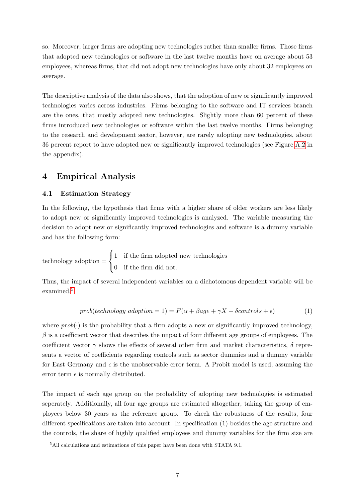so. Moreover, larger firms are adopting new technologies rather than smaller firms. Those firms that adopted new technologies or software in the last twelve months have on average about 53 employees, whereas firms, that did not adopt new technologies have only about 32 employees on average.

The descriptive analysis of the data also shows, that the adoption of new or significantly improved technologies varies across industries. Firms belonging to the software and IT services branch are the ones, that mostly adopted new technologies. Slightly more than 60 percent of these firms introduced new technologies or software within the last twelve months. Firms belonging to the research and development sector, however, are rarely adopting new technologies, about 36 percent report to have adopted new or significantly improved technologies (see Figure [A.2](#page-22-1) in the appendix).

### 4 Empirical Analysis

#### 4.1 Estimation Strategy

In the following, the hypothesis that firms with a higher share of older workers are less likely to adopt new or significantly improved technologies is analyzed. The variable measuring the decision to adopt new or significantly improved technologies and software is a dummy variable and has the following form:

technology adoption =  $\sqrt{ }$ J  $\mathcal{L}$ 1 if the firm adopted new technologies 0 if the firm did not.

Thus, the impact of several independent variables on a dichotomous dependent variable will be examined.[5](#page-2-0)

$$
prob(technology\ adoption = 1) = F(\alpha + \beta age + \gamma X + \delta controls + \epsilon)
$$
\n(1)

where  $prob(\cdot)$  is the probability that a firm adopts a new or significantly improved technology,  $\beta$  is a coefficient vector that describes the impact of four different age groups of employees. The coefficient vector  $\gamma$  shows the effects of several other firm and market characteristics,  $\delta$  represents a vector of coefficients regarding controls such as sector dummies and a dummy variable for East Germany and  $\epsilon$  is the unobservable error term. A Probit model is used, assuming the error term  $\epsilon$  is normally distributed.

The impact of each age group on the probability of adopting new technologies is estimated seperately. Additionally, all four age groups are estimated altogether, taking the group of employees below 30 years as the reference group. To check the robustness of the results, four different specifications are taken into account. In specification (1) besides the age structure and the controls, the share of highly qualified employees and dummy variables for the firm size are

<sup>&</sup>lt;sup>5</sup>All calculations and estimations of this paper have been done with STATA 9.1.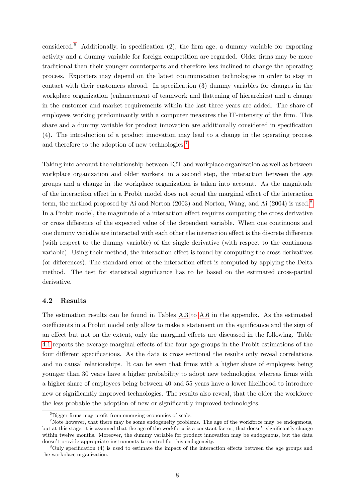considered.<sup>[6](#page-2-0)</sup> Additionally, in specification  $(2)$ , the firm age, a dummy variable for exporting activity and a dummy variable for foreign competition are regarded. Older firms may be more traditional than their younger counterparts and therefore less inclined to change the operating process. Exporters may depend on the latest communication technologies in order to stay in contact with their customers abroad. In specification (3) dummy variables for changes in the workplace organization (enhancement of teamwork and flattening of hierarchies) and a change in the customer and market requirements within the last three years are added. The share of employees working predominantly with a computer measures the IT-intensity of the firm. This share and a dummy variable for product innovation are additionally considered in specification (4). The introduction of a product innovation may lead to a change in the operating process and therefore to the adoption of new technologies.[7](#page-2-0)

Taking into account the relationship between ICT and workplace organization as well as between workplace organization and older workers, in a second step, the interaction between the age groups and a change in the workplace organization is taken into account. As the magnitude of the interaction effect in a Probit model does not equal the marginal effect of the interaction term, the method proposed by Ai and Norton (2003) and Norton, Wang, and Ai (2004) is used.<sup>[8](#page-2-0)</sup> In a Probit model, the magnitude of a interaction effect requires computing the cross derivative or cross difference of the expected value of the dependent variable. When one continuous and one dummy variable are interacted with each other the interaction effect is the discrete difference (with respect to the dummy variable) of the single derivative (with respect to the continuous variable). Using their method, the interaction effect is found by computing the cross derivatives (or differences). The standard error of the interaction effect is computed by applying the Delta method. The test for statistical significance has to be based on the estimated cross-partial derivative.

#### 4.2 Results

The estimation results can be found in Tables [A.3](#page-24-0) to [A.6](#page-27-0) in the appendix. As the estimated coefficients in a Probit model only allow to make a statement on the significance and the sign of an effect but not on the extent, only the marginal effects are discussed in the following. Table [4.1](#page-13-0) reports the average marginal effects of the four age groups in the Probit estimations of the four different specifications. As the data is cross sectional the results only reveal correlations and no causal relationships. It can be seen that firms with a higher share of employees being younger than 30 years have a higher probability to adopt new technologies, whereas firms with a higher share of employees being between 40 and 55 years have a lower likelihood to introduce new or significantly improved technologies. The results also reveal, that the older the workforce the less probable the adoption of new or significantly improved technologies.

 ${}^{6}$ Bigger firms may profit from emerging economies of scale.

<sup>&</sup>lt;sup>7</sup>Note however, that there may be some endogeneity problems. The age of the workforce may be endogenous, but at this stage, it is assumed that the age of the workforce is a constant factor, that doesn't significantly change within twelve months. Moreover, the dummy variable for product innovation may be endogenous, but the data doesn't provide appropriate instruments to control for this endogeneity.

<sup>8</sup>Only specification (4) is used to estimate the impact of the interaction effects between the age groups and the workplace organization.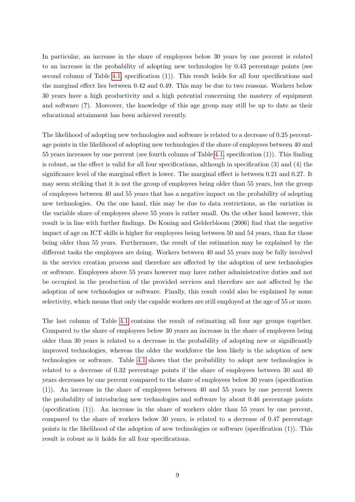In particular, an increase in the share of employees below 30 years by one percent is related to an increase in the probability of adopting new technologies by 0.43 percentage points (see second column of Table [4.1,](#page-13-0) specification (1)). This result holds for all four specifications and the marginal effect lies between 0.42 and 0.49. This may be due to two reasons. Workers below 30 years have a high productivity and a high potential concerning the mastery of equipment and software (?). Moreover, the knowledge of this age group may still be up to date as their educational attainment has been achieved recently.

The likelihood of adopting new technologies and software is related to a decrease of 0.25 percentage points in the likelihood of adopting new technologies if the share of employees between 40 and 55 years increases by one percent (see fourth column of Table [4.1,](#page-13-0) specification (1)). This finding is robust, as the effect is valid for all four specifications, although in specification (3) and (4) the significance level of the marginal effect is lower. The marginal effect is between 0.21 and 0.27. It may seem striking that it is not the group of employees being older than 55 years, but the group of employees between 40 and 55 years that has a negative impact on the probability of adopting new technologies. On the one hand, this may be due to data restrictions, as the variation in the variable share of employees above 55 years is rather small. On the other hand however, this result is in line with further findings. De Koning and Gelderbloom (2006) find that the negative impact of age on ICT skills is higher for employees being between 50 and 54 years, than for those being older than 55 years. Furthermore, the result of the estimation may be explained by the different tasks the employees are doing. Workers between 40 and 55 years may be fully involved in the service creation process and therefore are affected by the adoption of new technologies or software. Employees above 55 years however may have rather administrative duties and not be occupied in the production of the provided services and therefore are not affected by the adoption of new technologies or software. Finally, this result could also be explained by some selectivity, which means that only the capable workers are still employed at the age of 55 or more.

The last column of Table [4.1](#page-13-0) contains the result of estimating all four age groups together. Compared to the share of employees below 30 years an increase in the share of employees being older than 30 years is related to a decrease in the probability of adopting new or significantly improved technologies, whereas the older the workforce the less likely is the adoption of new technologies or software. Table [4.1](#page-13-0) shows that the probability to adopt new technologies is related to a decrease of 0.32 percentage points if the share of employees between 30 and 40 years decreases by one percent compared to the share of employees below 30 years (specification (1)). An increase in the share of employees between 40 and 55 years by one percent lowers the probability of introducing new technologies and software by about 0.46 percentage points (specification (1)). An increase in the share of workers older than 55 years by one percent, compared to the share of workers below 30 years, is related to a decrease of 0.47 percentage points in the likelihood of the adoption of new technologies or software (specification (1)). This result is robust as it holds for all four specifications.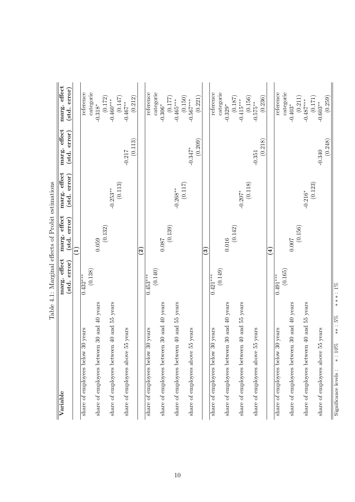|                                                      | Table 4.1: Marginal effects of Probit estimations |                                         |                                       |                                         |                              |
|------------------------------------------------------|---------------------------------------------------|-----------------------------------------|---------------------------------------|-----------------------------------------|------------------------------|
| Variable                                             | marg. effect<br>$(\mathrm{std.~error})$           | marg. effect<br>$(\mathrm{std.~error})$ | marg. effect<br>$(\text{std. error})$ | marg. effect<br>$(\mathrm{std.~error})$ | marg. effect<br>(std. error) |
|                                                      |                                                   | Ξ                                       |                                       |                                         |                              |
| 30 years<br>share of employees below                 | $\overline{0.432}^{***}$                          |                                         |                                       |                                         | reference                    |
|                                                      | (0.138)                                           |                                         |                                       |                                         | categorie                    |
| share of employees between 30 and 40 years           |                                                   | 0.059                                   |                                       |                                         | $-0.318*$                    |
| share of employees between 40 and 55 years           |                                                   | (0.132)                                 | $-0.253***$                           |                                         | (0.172)<br>$-0.460***$       |
|                                                      |                                                   |                                         | (0.113)                               |                                         | (0.147)                      |
| 55 years<br>share of employees above                 |                                                   |                                         |                                       | $-0.217$                                | $-0.467***$                  |
|                                                      |                                                   |                                         |                                       | (0.113)                                 | (0.212)                      |
|                                                      |                                                   | $\widetilde{\bm{S}}$                    |                                       |                                         |                              |
| $\overline{30}$ years<br>share of employees below    | $0.453***$                                        |                                         |                                       |                                         | reference                    |
|                                                      | (0.140)                                           |                                         |                                       |                                         | categorie                    |
| share of employees between 30 and 40 years           |                                                   | $0.087$                                 |                                       |                                         | $-0.306*$                    |
| share of employees between 40 and 55 years           |                                                   | (0.139)                                 | $-0.268**$                            |                                         | (0.177)<br>$-0.465***$       |
|                                                      |                                                   |                                         | (0.117)                               |                                         | (0.150)                      |
| 55 years<br>share of employees above                 |                                                   |                                         |                                       | $-0.347*$                               | $-0.567***$                  |
|                                                      |                                                   |                                         |                                       | (0.209)                                 | (0.221)                      |
|                                                      |                                                   | ව                                       |                                       |                                         |                              |
| 30 years<br>share of employees below                 | $0.421***$                                        |                                         |                                       |                                         | reference                    |
|                                                      | (0.149)                                           |                                         |                                       |                                         | categorie                    |
| share of employees between 30 and 40 years           |                                                   | $0.016\,$                               |                                       |                                         | $-0.329*$                    |
|                                                      |                                                   | (0.142)                                 |                                       |                                         | (0.187)                      |
| share of employees between 40 and 55 years           |                                                   |                                         | $-0.207*$                             |                                         | $-0.415***$                  |
|                                                      |                                                   |                                         | (0.118)                               |                                         |                              |
| 55 years<br>share of employees above                 |                                                   |                                         |                                       | $-0.351$                                | $(0.156)$ –0.575**           |
|                                                      |                                                   |                                         |                                       | (0.218)                                 | (0.236)                      |
|                                                      |                                                   | $\widehat{4}$                           |                                       |                                         |                              |
| 30 years<br>share of employees below                 | (0.165)<br>$0.491***$                             |                                         |                                       |                                         | reference<br>categorie       |
| share of employees between 30 and 40 years           |                                                   | 0.007                                   |                                       |                                         | $-0.403*$                    |
|                                                      |                                                   | (0.156)                                 |                                       |                                         | $(0.211)$<br>$-0.487***$     |
| share of employees between 40 and 55 years           |                                                   |                                         | $-0.216*$                             |                                         |                              |
|                                                      |                                                   |                                         | (0.123)                               |                                         | (0.171)                      |
| 55 years<br>share of employees above                 |                                                   |                                         |                                       | (0.248)<br>$-0.340$                     | (0.259)<br>$-0.603***$       |
| $***:5\%$<br>$\ast$ : $10\%$<br>Significance levels: | $***1\%$                                          |                                         |                                       |                                         |                              |

<span id="page-13-0"></span> $\frac{1}{4}$ Ń  $\frac{1}{2}$  $\Gamma$ q  $\overline{a}$  $\overline{M}_{\alpha}$  $\frac{1}{2}$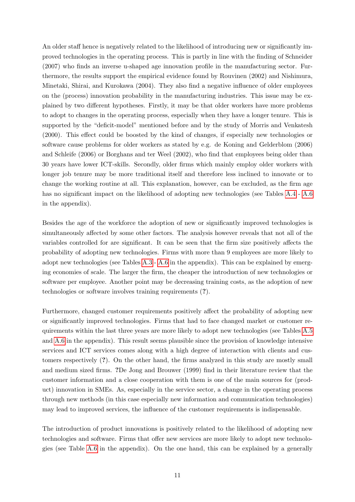An older staff hence is negatively related to the likelihood of introducing new or significantly improved technologies in the operating process. This is partly in line with the finding of Schneider (2007) who finds an inverse u-shaped age innovation profile in the manufacturing sector. Furthermore, the results support the empirical evidence found by Rouvinen (2002) and Nishimura, Minetaki, Shirai, and Kurokawa (2004). They also find a negative influence of older employees on the (process) innovation probability in the manufacturing industries. This issue may be explained by two different hypotheses. Firstly, it may be that older workers have more problems to adopt to changes in the operating process, especially when they have a longer tenure. This is supported by the "deficit-model" mentioned before and by the study of Morris and Venkatesh (2000). This effect could be boosted by the kind of changes, if especially new technologies or software cause problems for older workers as stated by e.g. de Koning and Gelderblom (2006) and Schleife (2006) or Borghans and ter Weel (2002), who find that employees being older than 30 years have lower ICT-skills. Secondly, older firms which mainly employ older workers with longer job tenure may be more traditional itself and therefore less inclined to innovate or to change the working routine at all. This explanation, however, can be excluded, as the firm age has no significant impact on the likelihood of adopting new technologies (see Tables [A.4](#page-25-0) - [A.6](#page-27-0) in the appendix).

Besides the age of the workforce the adoption of new or significantly improved technologies is simultaneously affected by some other factors. The analysis however reveals that not all of the variables controlled for are significant. It can be seen that the firm size positively affects the probability of adopting new technologies. Firms with more than 9 employees are more likely to adopt new technologies (see Tables [A.3](#page-24-0) - [A.6](#page-27-0) in the appendix). This can be explained by emerging economies of scale. The larger the firm, the cheaper the introduction of new technologies or software per employee. Another point may be decreasing training costs, as the adoption of new technologies or software involves training requirements (?).

Furthermore, changed customer requirements positively affect the probability of adopting new or significantly improved technologies. Firms that had to face changed market or customer requirements within the last three years are more likely to adopt new technologies (see Tables [A.5](#page-26-0) and [A.6](#page-27-0) in the appendix). This result seems plausible since the provision of knowledge intensive services and ICT services comes along with a high degree of interaction with clients and customers respectively (?). On the other hand, the firms analyzed in this study are mostly small and medium sized firms. ?De Jong and Brouwer (1999) find in their literature review that the customer information and a close cooperation with them is one of the main sources for (product) innovation in SMEs. As, especially in the service sector, a change in the operating process through new methods (in this case especially new information and communication technologies) may lead to improved services, the influence of the customer requirements is indispensable.

The introduction of product innovations is positively related to the likelihood of adopting new technologies and software. Firms that offer new services are more likely to adopt new technologies (see Table [A.6](#page-27-0) in the appendix). On the one hand, this can be explained by a generally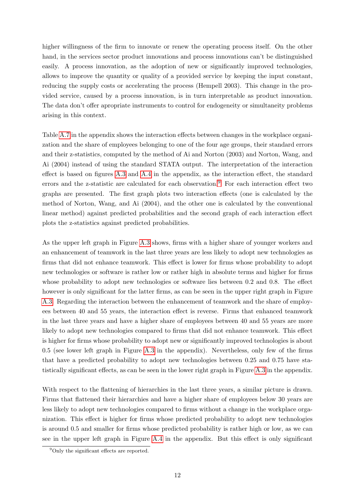higher willingness of the firm to innovate or renew the operating process itself. On the other hand, in the services sector product innovations and process innovations can't be distinguished easily. A process innovation, as the adoption of new or significantly improved technologies, allows to improve the quantity or quality of a provided service by keeping the input constant, reducing the supply costs or accelerating the process (Hempell 2003). This change in the provided service, caused by a process innovation, is in turn interpretable as product innovation. The data don't offer apropriate instruments to control for endogeneity or simultaneity problems arising in this context.

Table [A.7](#page-28-0) in the appendix shows the interaction effects between changes in the workplace organization and the share of employees belonging to one of the four age groups, their standard errors and their z-statistics, computed by the method of Ai and Norton (2003) and Norton, Wang, and Ai (2004) instead of using the standard STATA output. The interpretation of the interaction effect is based on figures [A.3](#page-28-1) and [A.4](#page-29-0) in the appendix, as the interaction effect, the standard errors and the z-statistic are calculated for each observation.<sup>[9](#page-2-0)</sup> For each interaction effect two graphs are presented. The first graph plots two interaction effects (one is calculated by the method of Norton, Wang, and Ai (2004), and the other one is calculated by the conventional linear method) against predicted probabilities and the second graph of each interaction effect plots the z-statistics against predicted probabilities.

As the upper left graph in Figure [A.3](#page-28-1) shows, firms with a higher share of younger workers and an enhancement of teamwork in the last three years are less likely to adopt new technologies as firms that did not enhance teamwork. This effect is lower for firms whose probability to adopt new technologies or software is rather low or rather high in absolute terms and higher for firms whose probability to adopt new technologies or software lies between 0.2 and 0.8. The effect however is only significant for the latter firms, as can be seen in the upper right graph in Figure [A.3.](#page-28-1) Regarding the interaction between the enhancement of teamwork and the share of employees between 40 and 55 years, the interaction effect is reverse. Firms that enhanced teamwork in the last three years and have a higher share of employees between 40 and 55 years are more likely to adopt new technologies compared to firms that did not enhance teamwork. This effect is higher for firms whose probability to adopt new or significantly improved technologies is about 0.5 (see lower left graph in Figure [A.3](#page-28-1) in the appendix). Nevertheless, only few of the firms that have a predicted probability to adopt new technologies between 0.25 and 0.75 have statistically significant effects, as can be seen in the lower right graph in Figure [A.3](#page-28-1) in the appendix.

With respect to the flattening of hierarchies in the last three years, a similar picture is drawn. Firms that flattened their hierarchies and have a higher share of employees below 30 years are less likely to adopt new technologies compared to firms without a change in the workplace organization. This effect is higher for firms whose predicted probability to adopt new technologies is around 0.5 and smaller for firms whose predicted probability is rather high or low, as we can see in the upper left graph in Figure [A.4](#page-29-0) in the appendix. But this effect is only significant

<sup>9</sup>Only the significant effects are reported.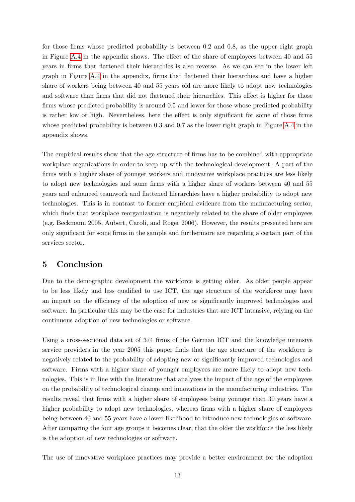for those firms whose predicted probability is between 0.2 and 0.8, as the upper right graph in Figure [A.4](#page-29-0) in the appendix shows. The effect of the share of employees between 40 and 55 years in firms that flattened their hierarchies is also reverse. As we can see in the lower left graph in Figure [A.4](#page-29-0) in the appendix, firms that flattened their hierarchies and have a higher share of workers being between 40 and 55 years old are more likely to adopt new technologies and software than firms that did not flattened their hierarchies. This effect is higher for those firms whose predicted probability is around 0.5 and lower for those whose predicted probability is rather low or high. Nevertheless, here the effect is only significant for some of those firms whose predicted probability is between 0.3 and 0.7 as the lower right graph in Figure [A.4](#page-29-0) in the appendix shows.

The empirical results show that the age structure of firms has to be combined with appropriate workplace organizations in order to keep up with the technological development. A part of the firms with a higher share of younger workers and innovative workplace practices are less likely to adopt new technologies and some firms with a higher share of workers between 40 and 55 years and enhanced teamwork and flattened hierarchies have a higher probability to adopt new technologies. This is in contrast to former empirical evidence from the manufacturing sector, which finds that workplace reorganization is negatively related to the share of older employees (e.g. Beckmann 2005, Aubert, Caroli, and Roger 2006). However, the results presented here are only significant for some firms in the sample and furthermore are regarding a certain part of the services sector.

### 5 Conclusion

Due to the demographic development the workforce is getting older. As older people appear to be less likely and less qualified to use ICT, the age structure of the workforce may have an impact on the efficiency of the adoption of new or significantly improved technologies and software. In particular this may be the case for industries that are ICT intensive, relying on the continuous adoption of new technologies or software.

Using a cross-sectional data set of 374 firms of the German ICT and the knowledge intensive service providers in the year 2005 this paper finds that the age structure of the workforce is negatively related to the probability of adopting new or significantly improved technologies and software. Firms with a higher share of younger employees are more likely to adopt new technologies. This is in line with the literature that analyzes the impact of the age of the employees on the probability of technological change and innovations in the manufacturing industries. The results reveal that firms with a higher share of employees being younger than 30 years have a higher probability to adopt new technologies, whereas firms with a higher share of employees being between 40 and 55 years have a lower likelihood to introduce new technologies or software. After comparing the four age groups it becomes clear, that the older the workforce the less likely is the adoption of new technologies or software.

The use of innovative workplace practices may provide a better environment for the adoption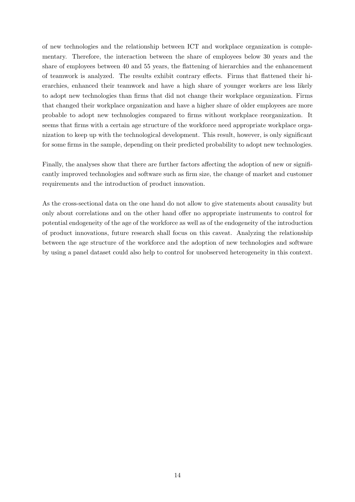of new technologies and the relationship between ICT and workplace organization is complementary. Therefore, the interaction between the share of employees below 30 years and the share of employees between 40 and 55 years, the flattening of hierarchies and the enhancement of teamwork is analyzed. The results exhibit contrary effects. Firms that flattened their hierarchies, enhanced their teamwork and have a high share of younger workers are less likely to adopt new technologies than firms that did not change their workplace organization. Firms that changed their workplace organization and have a higher share of older employees are more probable to adopt new technologies compared to firms without workplace reorganization. It seems that firms with a certain age structure of the workforce need appropriate workplace organization to keep up with the technological development. This result, however, is only significant for some firms in the sample, depending on their predicted probability to adopt new technologies.

Finally, the analyses show that there are further factors affecting the adoption of new or significantly improved technologies and software such as firm size, the change of market and customer requirements and the introduction of product innovation.

As the cross-sectional data on the one hand do not allow to give statements about causality but only about correlations and on the other hand offer no appropriate instruments to control for potential endogeneity of the age of the workforce as well as of the endogeneity of the introduction of product innovations, future research shall focus on this caveat. Analyzing the relationship between the age structure of the workforce and the adoption of new technologies and software by using a panel dataset could also help to control for unobserved heterogeneity in this context.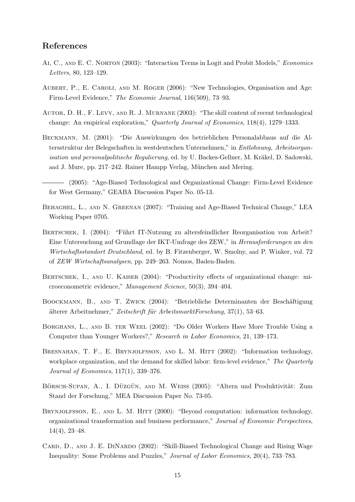#### References

- Ai, C., and E. C. Norton (2003): "Interaction Terms in Logit and Probit Models," Economics Letters, 80, 123–129.
- Aubert, P., E. Caroli, and M. Roger (2006): "New Technologies, Organisation and Age: Firm-Level Evidence," The Economic Journal, 116(509), 73–93.
- Autor, D. H., F. Levy, and R. J. Murnane (2003): "The skill content of recent technological change: An empirical exploration," Quarterly Journal of Economics, 118(4), 1279–1333.
- Beckmann, M. (2001): "Die Auswirkungen des betrieblichen Personalabbaus auf die Altersstruktur der Belegschaften in westdeutschen Unternehmen," in Entlohnung, Arbeitsorganisation und personalpolitische Regulierung, ed. by U. Backes-Gellner, M. Kräkel, D. Sadowski, and J. Mure, pp. 217–242. Rainer Hampp Verlag, München and Mering.
- (2005): "Age-Biased Technological and Organizational Change: Firm-Level Evidence for West Germany," GEABA Discussion Paper No. 05-13.
- Behaghel, L., and N. Greenan (2007): "Training and Age-Biased Technical Change," LEA Working Paper 0705.
- BERTSCHEK, I. (2004): "Führt IT-Nutzung zu altersfeindlicher Reorganisation von Arbeit? Eine Untersuchung auf Grundlage der IKT-Umfrage des ZEW," in Herausforderungen an den Wirtschaftsstandort Deutschland, ed. by B. Fitzenberger, W. Smolny, and P. Winker, vol. 72 of ZEW Wirtschaftsanalysen, pp. 249–263. Nomos, Baden-Baden.
- BERTSCHEK, I., AND U. KAISER (2004): "Productivity effects of organizational change: microeconometric evidence," Management Science, 50(3), 394–404.
- BOOCKMANN, B., AND T. ZWICK (2004): "Betriebliche Determinanten der Beschäftigung älterer Arbeitnehmer," Zeitschrift für ArbeitsmarktForschung, 37(1), 53–63.
- Borghans, L., and B. ter Weel (2002): "Do Older Workers Have More Trouble Using a Computer than Younger Workers?," Research in Labor Economics, 21, 139–173.
- BRESNAHAN, T. F., E. BRYNJOLFSSON, AND L. M. HITT (2002): "Information technology, workplace organization, and the demand for skilled labor: firm-level evidence," The Quarterly Journal of Economics, 117(1), 339–376.
- BÖRSCH-SUPAN, A., I. DÜZGÜN, AND M. WEISS (2005): "Altern und Produktivität: Zum Stand der Forschung," MEA Discussion Paper No. 73-05.
- BRYNJOLFSSON, E., AND L. M. HITT (2000): "Beyond computation: information technology, organizational transformation and business performance," Journal of Economic Perspectives, 14(4), 23–48.
- CARD, D., AND J. E. DINARDO (2002): "Skill-Biased Technological Change and Rising Wage Inequality: Some Problems and Puzzles," Journal of Labor Economics, 20(4), 733–783.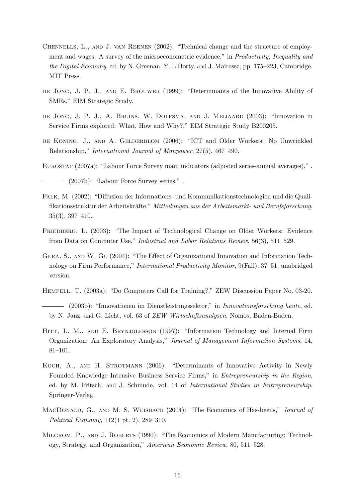- Chennells, L., and J. van Reenen (2002): "Technical change and the structure of employment and wages: A survey of the microeconometric evidence," in Productivity, Inequality and the Digital Economy, ed. by N. Greenan, Y. L'Horty, and J. Mairesse, pp. 175–223, Cambridge. MIT Press.
- de Jong, J. P. J., and E. Brouwer (1999): "Determinants of the Innovative Ability of SMEs," EIM Strategic Study.
- de Jong, J. P. J., A. Bruins, W. Dolfsma, and J. Meijaard (2003): "Innovation in Service Firms explored: What, How and Why?," EIM Strategic Study B200205.
- DE KONING, J., AND A. GELDERBLOM (2006): "ICT and Older Workers: No Unwrinkled Relationship," International Journal of Manpower, 27(5), 467–490.
- Eurostat (2007a): "Labour Force Survey main indicators (adjusted series-annual averages)," .

(2007b): "Labour Force Survey series," .

- Falk, M. (2002): "Diffusion der Informations- und Kommunikationstechnologien und die Qualifikationsstruktur der Arbeitskräfte," Mitteilungen aus der Arbeitsmarkt- und Berufsforschung, 35(3), 397–410.
- FRIEDBERG, L. (2003): "The Impact of Technological Change on Older Workers: Evidence from Data on Computer Use," Industrial and Labor Relations Review, 56(3), 511–529.
- Gera, S., and W. Gu (2004): "The Effect of Organizational Innovation and Information Technology on Firm Performance," International Productivity Monitor, 9(Fall), 37–51, unabridged version.
- Hempell, T. (2003a): "Do Computers Call for Training?," ZEW Discussion Paper No. 03-20.
- (2003b): "Innovationen im Dienstleistungssektor," in Innovationsforschung heute, ed. by N. Janz, and G. Licht, vol. 63 of ZEW Wirtschaftsanalysen. Nomos, Baden-Baden.
- HITT, L. M., AND E. BRYNJOLFSSON (1997): "Information Technology and Internal Firm Organization: An Exploratory Analysis," Journal of Management Information Systems, 14, 81–101.
- Koch, A., and H. Strotmann (2006): "Determinants of Innovative Activity in Newly Founded Knowledge Intensive Business Service Firms," in Entrepreneurship in the Region, ed. by M. Fritsch, and J. Schmude, vol. 14 of International Studies in Entrepreneurship. Springer-Verlag.
- MACDONALD, G., AND M. S. WEISBACH (2004): "The Economics of Has-beens," *Journal of* Political Economy, 112(1 pt. 2), 289–310.
- MILGROM, P., AND J. ROBERTS (1990): "The Economics of Modern Manufacturing: Technology, Strategy, and Organization," American Economic Review, 80, 511–528.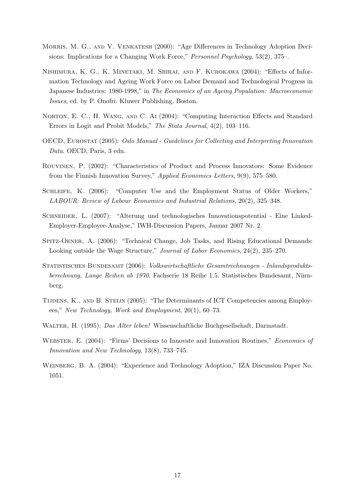- Morris, M. G., and V. Venkatesh (2000): "Age Differences in Technology Adoption Decisions: Implications for a Changing Work Force," Personnel Psychology, 53(2), 375–.
- Nishimura, K. G., K. Minetaki, M. Shirai, and F. Kurokawa (2004): "Effects of Information Technology and Ageing Work Force on Labor Demand and Technological Progress in Japanese Industries: 1980-1998," in The Economics of an Ageing Population: Macroeconomic Issues, ed. by P. Onofri. Kluwer Publishing, Boston.
- NORTON, E. C., H. WANG, AND C. AI (2004): "Computing Interaction Effects and Standard Errors in Logit and Probit Models," The Stata Journal, 4(2), 103–116.
- OECD, Eurostat (2005): Oslo Manual Guidelines for Collecting and Interpreting Innovation Data. OECD, Paris, 3 edn.
- Rouvinen, P. (2002): "Characteristics of Product and Process Innovators: Some Evidence from the Finnish Innovation Survey," Applied Economics Letters, 9(9), 575–580.
- Schleife, K. (2006): "Computer Use and the Employment Status of Older Workers," LABOUR: Review of Labour Economics and Industrial Relations, 20(2), 325–348.
- Schneider, L. (2007): "Alterung und technologisches Innovationspotential Eine Linked-Employer-Employee-Analyse," IWH-Discussion Papers, Januar 2007 Nr. 2.
- Spitz-Oener, A. (2006): "Technical Change, Job Tasks, and Rising Educational Demands: Looking outside the Wage Structure," Journal of Labor Economics, 24(2), 235–270.
- Statistisches Bundesamt (2006): Volkswirtschaftliche Gesamtrechnungen Inlandsproduktsberechnung, Lange Reihen ab 1970, Fachserie 18 Reihe 1.5. Statistisches Bundesamt, Nürnberg.
- Tijdens, K., and B. Steijn (2005): "The Determinants of ICT Competencies among Employees," New Technology, Work and Employment, 20(1), 60–73.
- WALTER, H. (1995): *Das Alter leben!* Wissenschaftliche Buchgesellschaft, Darmstadt.
- WEBSTER, E. (2004): "Firms' Decisions to Innovate and Innovation Routines," *Economics of* Innovation and New Technology, 13(8), 733–745.
- WEINBERG, B. A. (2004): "Experience and Technology Adoption," IZA Discussion Paper No. 1051.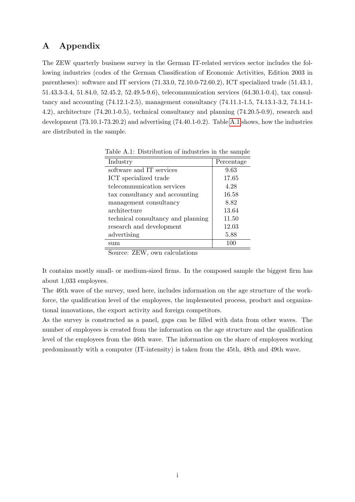## A Appendix

The ZEW quarterly business survey in the German IT-related services sector includes the following industries (codes of the German Classification of Economic Activities, Edition 2003 in parentheses): software and IT services (71.33.0, 72.10.0-72.60.2), ICT specialized trade (51.43.1, 51.43.3-3.4, 51.84.0, 52.45.2, 52.49.5-9.6), telecommunication services (64.30.1-0.4), tax consultancy and accounting (74.12.1-2.5), management consultancy (74.11.1-1.5, 74.13.1-3.2, 74.14.1- 4.2), architecture (74.20.1-0.5), technical consultancy and planning (74.20.5-0.9), research and development (73.10.1-73.20.2) and advertising (74.40.1-0.2). Table [A.1](#page-21-0) shows, how the industries are distributed in the sample.

<span id="page-21-0"></span>

| Industry                           | Percentage |
|------------------------------------|------------|
| software and IT services           | 9.63       |
| ICT specialized trade              | 17.65      |
| telecommunication services         | 4.28       |
| tax consultancy and accounting     | 16.58      |
| management consultancy             | 8.82       |
| architecture                       | 13.64      |
| technical consultancy and planning | 11.50      |
| research and development           | 12.03      |
| advertising                        | 5.88       |
| sum                                | 100        |

Table A.1: Distribution of industries in the sample

Source: ZEW, own calculations

It contains mostly small- or medium-sized firms. In the composed sample the biggest firm has about 1,033 employees.

The 46th wave of the survey, used here, includes information on the age structure of the workforce, the qualification level of the employees, the implemented process, product and organizational innovations, the export activity and foreign competitors.

As the survey is constructed as a panel, gaps can be filled with data from other waves. The number of employees is created from the information on the age structure and the qualification level of the employees from the 46th wave. The information on the share of employees working predominantly with a computer (IT-intensity) is taken from the 45th, 48th and 49th wave.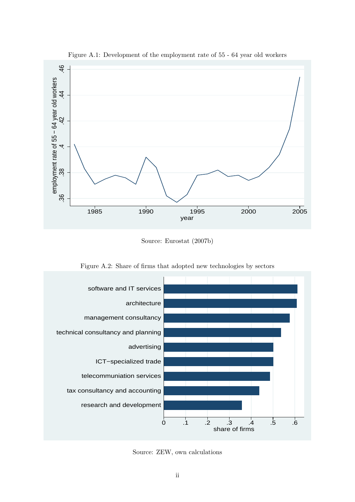

<span id="page-22-0"></span>Figure A.1: Development of the employment rate of 55 - 64 year old workers

<span id="page-22-1"></span>Source: Eurostat (2007b)



Figure A.2: Share of firms that adopted new technologies by sectors

Source: ZEW, own calculations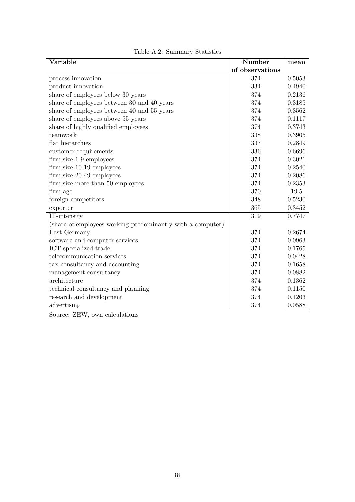| Variable                                                   | Number          | mean   |
|------------------------------------------------------------|-----------------|--------|
|                                                            | of observations |        |
| process innovation                                         | 374             | 0.5053 |
| product innovation                                         | 334             | 0.4940 |
| share of employees below 30 years                          | 374             | 0.2136 |
| share of employees between 30 and 40 years                 | 374             | 0.3185 |
| share of employees between 40 and 55 years                 | 374             | 0.3562 |
| share of employees above 55 years                          | 374             | 0.1117 |
| share of highly qualified employees                        | 374             | 0.3743 |
| teamwork                                                   | 338             | 0.3905 |
| flat hierarchies                                           | 337             | 0.2849 |
| customer requirements                                      | 336             | 0.6696 |
| firm size 1-9 employees                                    | 374             | 0.3021 |
| firm size 10-19 employees                                  | 374             | 0.2540 |
| firm size 20-49 employees                                  | 374             | 0.2086 |
| firm size more than 50 employees                           | 374             | 0.2353 |
| firm age                                                   | 370             | 19.5   |
| foreign competitors                                        | 348             | 0.5230 |
| exporter                                                   | 365             | 0.3452 |
| IT-intensity                                               | 319             | 0.7747 |
| (share of employees working predominantly with a computer) |                 |        |
| East Germany                                               | 374             | 0.2674 |
| software and computer services                             | 374             | 0.0963 |
| ICT specialized trade                                      | 374             | 0.1765 |
| telecommunication services                                 | 374             | 0.0428 |
| tax consultancy and accounting                             | 374             | 0.1658 |
| management consultancy                                     | 374             | 0.0882 |
| architecture                                               | 374             | 0.1362 |
| technical consultancy and planning                         | 374             | 0.1150 |
| research and development                                   | 374             | 0.1203 |
| advertising                                                | 374             | 0.0588 |

<span id="page-23-0"></span>Table A.2: Summary Statistics

Source: ZEW, own calculations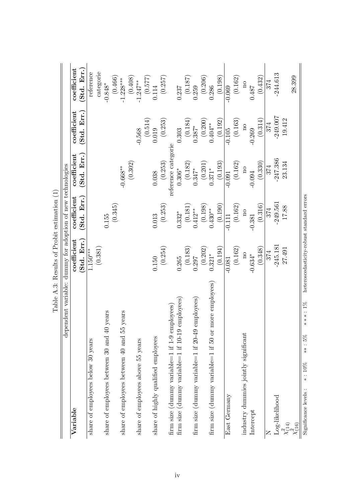<span id="page-24-0"></span>

| dependent variable: dummy for adoption of new technologies    | Lable A.3: Results of Frobit estimation (1) |                        |                                |                                                 |                                                                     |
|---------------------------------------------------------------|---------------------------------------------|------------------------|--------------------------------|-------------------------------------------------|---------------------------------------------------------------------|
| Variable                                                      | coefficient                                 | coefficient            | coefficient                    | $\operatorname{coefficient}$                    | coefficient                                                         |
|                                                               | Std. Err.                                   | (Std. Err.)            | Err.<br>(Std.                  | Err.<br>(Std.                                   | (Std. Err.                                                          |
| share of employees below 30 years                             | $1.150***$                                  |                        |                                |                                                 | reference                                                           |
|                                                               | (0.381)                                     |                        |                                |                                                 | categorie                                                           |
| $0$ years<br>share of employees between 30 and $4$            |                                             | 0.155                  |                                |                                                 | $-0.848*$                                                           |
|                                                               |                                             | (0.345)                |                                |                                                 | (0.466)                                                             |
| share of employees between 40 and 55 years                    |                                             |                        | $-0.668**$                     |                                                 | $-1.228***$                                                         |
|                                                               |                                             |                        | (0.302)                        |                                                 | $(0.408)$<br>-1.247**                                               |
| share of employees above 55 years                             |                                             |                        |                                | $-0.568$                                        |                                                                     |
|                                                               |                                             |                        |                                | $\begin{array}{c} (0.514) \\ 0.019 \end{array}$ | $(0.577)$ $0.114$                                                   |
| share of highly qualified employees                           | 0.150                                       | 0.013                  | 0.038                          |                                                 |                                                                     |
|                                                               | (0.254)                                     | (0.253)                | (0.253)                        | $\left( 0.253\right)$                           | $(0.257)$                                                           |
| firm size (dummy variable=1 if 1-9 employees)                 |                                             |                        | reference categorie            |                                                 |                                                                     |
| employees)<br>firm size (dummy variable=1 if 10-19            | 0.265                                       | $0.332*$               | $0.306^{\ast}$                 | 0.303                                           | 0.237                                                               |
|                                                               | (0.183)                                     | (0.181)                | (0.182)                        | $(0.184)$ $0.387^*$                             |                                                                     |
| employees)<br>firm size (dummy variable=1 if $20-45$          | 0.297                                       | $0.412***$             | $0.347*$                       |                                                 |                                                                     |
|                                                               | $(0.202)$ $0.321^*$                         | $(0.198)$<br>$0.430**$ | $\left(0.201\right)$ $0.371^*$ | $(0.200)$<br>$0.404**$                          | $\begin{array}{c} (0.187) \\ 0.259 \\ (0.206) \\ 0.286 \end{array}$ |
| more employees)<br>firm size (dummy variable=1 if 50 or       |                                             |                        |                                |                                                 |                                                                     |
|                                                               | (0.194)                                     | (0.190)                | (0.193)                        | (0.192)                                         | (0.198)                                                             |
| East Germany                                                  | $-0.081$                                    | $-0.111$               | $-0.091$                       | $-0.105$                                        | $-0.069$                                                            |
|                                                               | (0.162)                                     | (0.162)                | (0.162)                        | (0.163)                                         | (0.162)                                                             |
| industry dummies jointly significant                          | $\rm ^{10}$                                 | $\rm ^{10}$            | $\rm no$                       | $\rm ^{10}$                                     | $\overline{\mathbf{n}}$                                             |
| Intercept                                                     | $-0.634*$                                   | $-0.381$               | $-0.094$                       | $-0.269$                                        | 0.487                                                               |
|                                                               | (0.348)                                     | (0.316)                | (0.330)                        | (0.314)                                         | (0.432)                                                             |
| Z                                                             | 374                                         | 374                    | 374                            | 374                                             | 374                                                                 |
| Log-likelihood                                                | $-245.181$                                  | $-249.561$             | $-247.386$                     | $-249.007$                                      | $-244.613$                                                          |
| $\chi^2_{(14)}$                                               | 27.491                                      | 17.88                  | 23.134                         | 19.412                                          |                                                                     |
| $\chi_{(16)}^{\ast}$                                          |                                             |                        |                                |                                                 | 28.399                                                              |
| $***:1\%$<br>$***:5%$<br>$\ast$ : 10%<br>Significance levels: | heteroscedasticity-robust standard errors   |                        |                                |                                                 |                                                                     |
|                                                               |                                             |                        |                                |                                                 |                                                                     |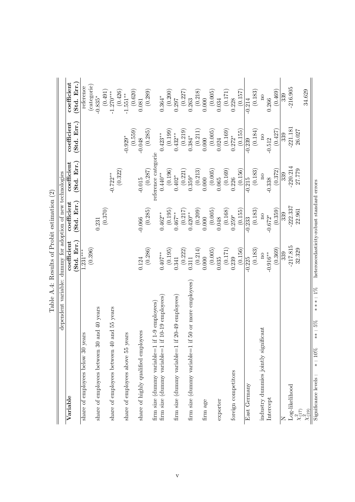|                                                                | Algorithment of the property of the property of the two states of the second to the contract of the two states of the second to the second the second terms of the second terms of the second terms of the second terms of the |                           |                                           |                                                   |                                                 |
|----------------------------------------------------------------|--------------------------------------------------------------------------------------------------------------------------------------------------------------------------------------------------------------------------------|---------------------------|-------------------------------------------|---------------------------------------------------|-------------------------------------------------|
| dependent variable: dummy for adoption of new technologies     |                                                                                                                                                                                                                                |                           |                                           |                                                   |                                                 |
| Variable                                                       | coefficient<br>Std. Err.                                                                                                                                                                                                       | Std. Err.)<br>coefficient | $\operatorname{coefficient}$<br>Std. Err. | coefficient<br>Std. Err.                          | coefficient<br>(Std. Err.                       |
| share of employees below 30 years                              | $1.231***$                                                                                                                                                                                                                     |                           |                                           |                                                   | reference                                       |
| share of employees between 30 and 40 years                     | (0.396)                                                                                                                                                                                                                        | 0.231                     |                                           |                                                   | (categorie)<br>$-0.835*$                        |
|                                                                |                                                                                                                                                                                                                                | (0.370)                   |                                           |                                                   | (0.491)                                         |
| share of employees between 40 and 55 years                     |                                                                                                                                                                                                                                |                           | $-0.722**$                                |                                                   | $-1.270***$                                     |
|                                                                |                                                                                                                                                                                                                                |                           | (0.322)                                   |                                                   | (0.426)                                         |
| share of employees above 55 years                              |                                                                                                                                                                                                                                |                           |                                           | (0.559)<br>$-0.929*$                              | $-1.551***$                                     |
| share of highly qualified employees                            | 0.124                                                                                                                                                                                                                          | $-0.066$                  | $-0.015$                                  | $-0.048$                                          | $\begin{array}{c} (0.620) \\ 0.081 \end{array}$ |
|                                                                | (0.286)                                                                                                                                                                                                                        | (0.285)                   | (0.287)                                   | (0.285)                                           | (0.289)                                         |
| if 1-9 employees)<br>firm size (dummy variable=1               |                                                                                                                                                                                                                                |                           | reference categorie                       |                                                   |                                                 |
| if $10-19$ employees)<br>firm size (dummy variable= $1$        | $0.407***$                                                                                                                                                                                                                     | $0.462**$                 | $0.440**$                                 | $0.423**$                                         | $0.364*$                                        |
|                                                                | (0.195)                                                                                                                                                                                                                        | (0.195)                   | (0.196)                                   | (0.199)                                           | (0.200)                                         |
| if 20-49 employees)<br>firm size (dummy variable=1             | 0.341                                                                                                                                                                                                                          | $0.467***$                | $0.402*$                                  | $0.432***$                                        | 0.297                                           |
|                                                                | (0.222)                                                                                                                                                                                                                        | (0.217)                   | (0.221)                                   | (0.219)                                           | (0.227)                                         |
| if 50 or more employees)<br>firm size (dummy variable=1        | 0.311                                                                                                                                                                                                                          | $0.420**$                 | $0.359*$                                  | $0.384*$                                          | 0.263                                           |
|                                                                | (0.214)                                                                                                                                                                                                                        | (0.209)                   | (0.213)                                   | (0.211)                                           | (0.218)                                         |
| firm age                                                       | 0.000                                                                                                                                                                                                                          | 0.000                     | 0.000                                     | 0.000                                             | 0.000                                           |
|                                                                | (0.005)                                                                                                                                                                                                                        | (0.005)                   | (0.005)                                   | (0.005)                                           | $(0.005)$<br>$0.034$                            |
| exporter                                                       | 0.035                                                                                                                                                                                                                          | 0.048                     | 0.065                                     | 0.024                                             |                                                 |
|                                                                | (0.171)                                                                                                                                                                                                                        | (0.168)                   | (0.169)                                   | $\begin{array}{c} (0.169) \\ 0.272^* \end{array}$ | (0.171)                                         |
| foreign competitors                                            | 0.239                                                                                                                                                                                                                          | $0.259*$                  | 0.226                                     |                                                   | 0.228                                           |
|                                                                | (0.156)                                                                                                                                                                                                                        | (0.155)                   | (0.156)                                   | (0.155)                                           | (0.157)                                         |
| East Germany                                                   | $-0.225$                                                                                                                                                                                                                       | $-0.233$                  | $-0.215$                                  | $-0.239$                                          | $-0.214$                                        |
|                                                                | (0.183)                                                                                                                                                                                                                        | (0.183)                   | (0.183)                                   | (0.184)                                           | (0.183)                                         |
| industry dummies jointly significant                           | $\overline{\mathbf{n}}$                                                                                                                                                                                                        | $\overline{\mathbf{n}}$   | $\rm no$                                  | $\overline{\mathbf{n}}$                           | $\Omega$                                        |
| Intercept                                                      | $-0.916**$                                                                                                                                                                                                                     | $-0.672*$                 | $-0.338$                                  | $-0.512$                                          | 0.266                                           |
|                                                                | (0.369)                                                                                                                                                                                                                        | (0.359)                   | (0.372)                                   | (0.427)                                           | (0.469)                                         |
|                                                                | 339                                                                                                                                                                                                                            | 339                       | 339                                       | 339                                               | 339                                             |
| Log-likelihood                                                 | $-217.815$                                                                                                                                                                                                                     | 222.337                   | $-220.214$                                | $-221.181$                                        | $-216.905$                                      |
| $\chi^2_{(17)}$                                                | 32.329                                                                                                                                                                                                                         | 22.961                    | 27.779                                    | 26.027                                            |                                                 |
| $\chi_{(19)}$                                                  |                                                                                                                                                                                                                                |                           |                                           |                                                   | 34.629                                          |
| $***:1\%$<br>$***:5\%$<br>$\ast$ : 10%<br>Significance levels: | heteroscedasticity-robust standard errors                                                                                                                                                                                      |                           |                                           |                                                   |                                                 |

<span id="page-25-0"></span>Table  $A.4$ : Results of Probit estimation  $(2)$ Table A.4: Results of Probit estimation (2)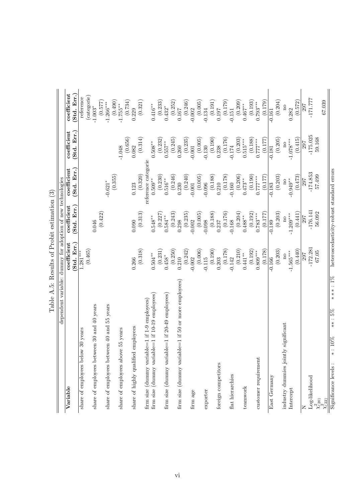| dependent variable: dummy for adoption of new technologies |                            |                            |                            |                            |                            |
|------------------------------------------------------------|----------------------------|----------------------------|----------------------------|----------------------------|----------------------------|
|                                                            |                            |                            |                            |                            |                            |
| Variable                                                   | coefficient<br>(Std. Err.) | (Std. Err.)<br>coefficient | (Std. Err.)<br>coefficient | (Std. Err.)<br>coefficient | coefficient<br>(Std. Err.) |
| share of employees below 30 years                          | (0.465)<br>$1.281***$      |                            |                            |                            | reference                  |
| share of employees between 30 and 40 years                 |                            | 0.046                      |                            |                            | (categorie)<br>$-1.003*$   |
|                                                            |                            | (0.422)                    |                            |                            | (0.577)                    |
| 55 years<br>share of employees between 40 and              |                            |                            | $-0.621*$                  |                            | $-1.266***$                |
|                                                            |                            |                            | (0.355)                    |                            | (0.490)                    |
| re 55 years<br>share of employees abov                     |                            |                            |                            | (0.656)<br>$-1.048$        | (0.734)<br>$-1.755***$     |
| share of highly qualified employees                        | 0.266                      | 0.090                      | 0.123                      | 0.082                      | 0.229                      |
|                                                            | (0.318)                    | (0.313)                    | (0.320)                    | (0.314)                    | (0.321)                    |
| firm size (dummy variable=1 if 1-9 employees)              |                            |                            | reference categorie        |                            |                            |
| firm size (dummy variable=1 if 10-19 employees)            | $0.504***$                 | $0.548**$                  | $0.509**$                  | $0.508***$                 | $0.416**$                  |
|                                                            | (0.231)                    | (0.227)                    | (0.230)                    | (0.232)                    | (0.233)                    |
| firm size (dummy variable=1 if 20-49 employees)            | $0.458*$                   | $0.584***$                 | $0.516**$                  | $0.557***$                 | $0.432*$                   |
|                                                            | (0.250)<br>0.210           | (0.243)                    | (0.246)                    | (0.245)                    | (0.252)<br>$0.167\,$       |
| firm size (dummy variable=1 if 50 or more employees)       |                            | 0.298                      | (0.240)<br>0.230           | 0.260                      |                            |
| firm age                                                   | (0.242)<br>$-0.002$        | (0.235)<br>$-0.002$        | $-0.001$                   | (0.235)<br>$-0.001$        | (0.246)<br>$-0.002$        |
|                                                            | (0.006)                    | (0.005)                    | (0.005)                    | (0.005)                    | (0.005)                    |
| exporter                                                   | $-0.115$                   | $-0.098$                   | $-0.096$                   | $-0.130$                   | $-0.134$                   |
|                                                            | (0.190)                    | (0.188)                    | (0.188)                    | (0.190)                    | (0.191)                    |
| foreign competitors                                        | 0.203                      | $0.237\,$                  | 0.210                      | 0.238                      | 0.197                      |
|                                                            | (0.178)                    | (0.176)                    | (0.178)                    | (0.176)                    | (0.179)                    |
| flat hierarchies                                           | $-0.142$                   | $-0.168$                   | $-0.160$                   | $-0.174$                   | $-0.151$                   |
|                                                            | (0.210)                    | (0.204)                    | (0.206)                    | (0.203)                    | (0.209)                    |
| teamwork                                                   | $0.441***$                 | $0.488***$                 | $0.473**$                  | $0.515***$                 | $0.467***$                 |
|                                                            | (0.192)                    | (0.192)                    | (0.190)                    | (0.188)                    | (0.193)                    |
| customer requirement                                       | (0.178)<br>$0.809***$      | (0.177)<br>$0.783***$      | (0.177)<br>$0.777***$      | (0.177)<br>$0.777***$      | (0.179)<br>$0.793***$      |
| East Germany                                               | $-0.166$                   | $-0.189$                   | $-0.183$                   | $-0.181$                   | $-0.161$                   |
|                                                            | (0.203)                    | (0.203)                    | (0.203)                    | (0.205)                    | (0.204)                    |
| ly significant<br>industry dummies jointl                  | $\overline{\mathbf{n}}$    | $_{\rm no}$                | $\overline{\mathbf{n}}$    | $\overline{\mathbf{n}}$    | $\overline{\mathbf{n}}$    |
| Intercept                                                  | $-1.565***$                | $-1.209***$                | $-0.949**$                 | $-1.078***$                | 0.282                      |
|                                                            | (0.440)                    | (0.441)                    | (0.473)                    | (0.415)                    | (0.572)                    |
| Z                                                          | 297                        | 297                        | 297                        | 297                        | 297                        |
| $Log-likelihood$                                           | $-172.281$                 | $-176.141$                 | $-174.853$                 | $-175.025$                 | $-171.777$                 |
| $\chi^2_{(20)}$                                            | 67.05                      | 56.092                     | 57.499                     | 59.168                     |                            |
| $\chi_{(22)}^{\epsilon}$                                   |                            |                            |                            |                            | 67.039                     |

<span id="page-26-0"></span>

| $\overline{\phantom{a}}$<br>$\mathbf{I}$ |
|------------------------------------------|
| $\frac{5}{1}$                            |
| .<br>.<br>.                              |
| j                                        |
|                                          |
| י<br>נ<br>Ï<br>ſ                         |
| $\dot{\varepsilon}$<br>í<br>Ì            |
| j<br>ĺ                                   |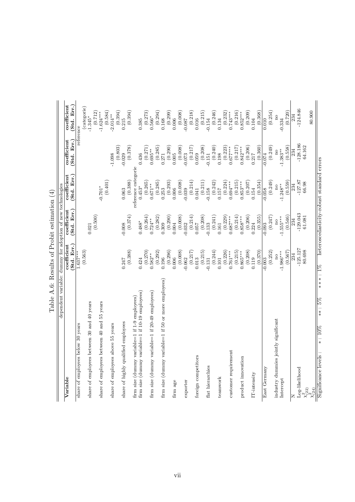|                                                            | Table A.6: Results of Probit estimation (4) |                                         |                                           |                              |                                             |
|------------------------------------------------------------|---------------------------------------------|-----------------------------------------|-------------------------------------------|------------------------------|---------------------------------------------|
| dependent variable: dummy for adoption of new technologies |                                             |                                         |                                           |                              |                                             |
| Variable                                                   | Std. Err.)<br>coefficient                   | (Std. Err.)<br>coefficient              | (Std. Err.)<br>coefficient                | (Std. Err.)<br>coefficient   | (Std. Err.)<br>coefficient                  |
| share of employees below 30 years                          | (0.563)<br>$1.637***$                       |                                         |                                           | reference                    | categorie)                                  |
| share of employees between 30 and 40 years                 |                                             | (0.500)<br>0.021                        |                                           |                              | (0.712)<br>$-1.345*$                        |
| share of employees between 40 and 55 years                 |                                             |                                         | (0.401)<br>$-0.701*$                      |                              | (0.584)<br>$-1.624***$                      |
| share of employees above 55 years                          |                                             |                                         |                                           | $-1.098$                     | $2.014**$                                   |
| share of highly qualified employees                        | 0.247                                       | $-0.008$                                | 0.063                                     | (0.803)<br>$-0.029$          | (0.394)<br>0.215                            |
| firm size (dummy variable=1 if 1-9 employees)              | (0.388)                                     | (0.374)                                 | (0.388)                                   | (0.378)                      | (0.394)                                     |
| firm size (dummy variable=1 if 10-19 employees)            | 0.424                                       | $0.488*$                                | reference categorie<br>$0.453*$           | 0.436                        | 0.385                                       |
| firm size (dummy variable=1 if 20-49 employees)            | (0.270)<br>$0.582***$                       | (0.264)<br>$0.724***$                   | (0.265)<br>$0.671**$                      | (0.271)<br>$0.695***$        | (0.273)<br>$0.566*$                         |
|                                                            | (0.292)                                     | (0.282)                                 | (0.285)                                   | (0.285)                      | (0.294)                                     |
| firm size (dummy variable=1 if 50 or more employees)       | (0.296)<br>0.196                            | (0.290)<br>0.309                        | (0.293)<br>0.253                          | (0.290)<br>0.271             | 0.168                                       |
| firm age                                                   | 0.006                                       | 0.004                                   | 0.006                                     | 0.005                        | $\left( 0.299\right)$ $\left( 0.006\right)$ |
|                                                            | (0.008)                                     | (0.008)                                 | (0.008)                                   | (0.008)                      | (0.008)                                     |
| exporter                                                   | (0.217)<br>$-0.062$                         | (0.214)<br>$-0.032$                     | (0.214)<br>$-0.039$                       | (0.217)<br>$-0.073$          | (0.218)<br>$-0.087$                         |
| foreign competitors                                        | 0.013                                       | 0.057                                   | 0.041                                     | 0.059                        | 0.016                                       |
| flat hierarchies                                           | (0.215)<br>$-0.131$                         | (0.208)<br>$-0.133$                     | (0.211)<br>$-0.158$                       | (0.208)<br>$-0.151$          | (0.215)<br>$-0.154$                         |
|                                                            | (0.244)                                     | (0.241)                                 | (0.242)                                   | (0.240)                      | (0.246)                                     |
| teamwork                                                   | 0.101                                       | $0.161\,$                               | 0.157                                     | 0.198                        | 0.134                                       |
| customer requirement                                       | (0.226)<br>$0.761***$                       | (0.229)<br>$0.687***$                   | (0.224)<br>$0.694***$                     | (0.223)<br>$0.677***$        | (0.232)<br>$0.743***$                       |
|                                                            | (0.215)<br>$0.865***$                       | (0.214)<br>$0.858***$                   | (0.215)<br>$0.853***$                     | (0.217)<br>$0.842***$        | (0.216)<br>$0.852***$                       |
| product innovation                                         | (0.208)                                     | (0.206)                                 | (0.207)                                   | (0.206)                      | (0.209)                                     |
| $IT$ -intensity                                            | (0.370)<br>0.119                            | (0.355)<br>0.224                        | (0.354)<br>0.154                          | (0.360)<br>0.217             | (0.368)<br>0.104                            |
| East Germany                                               | $-0.003$                                    | $-0.093$                                | $-0.058$                                  | $-0.074$                     | 0.010                                       |
|                                                            | (0.252)                                     | (0.247)                                 | (0.249)                                   | (0.249)                      | (0.254)                                     |
| industry dummies jointly significant<br>Intercept          | $-1.986***$<br>$\overline{\mathrm{a}}$      | $-1.555***$<br>$\overline{\mathrm{no}}$ | $-1.248**$<br>$\overline{\mathbf{n}}$     | $-1.383**$<br>$\overline{a}$ | no<br>$-0.334$                              |
|                                                            | (0.567)                                     | (0.546)                                 | (0.559)                                   | (0.558)                      | (0.720)                                     |
| Log-likelihood                                             | $-125.127$<br>234                           | $-129.043$<br>234                       | $-127.87$<br>234                          | $-128.186$<br>234            | $-124.846$<br>234                           |
| $\chi^2_{(22)}$                                            | 80.698                                      | 61.081                                  | 66.98                                     | 64.162                       |                                             |
| $\chi^2_{(24)}$                                            |                                             |                                         |                                           |                              | 80.900                                      |
| $\ast$<br>$***:5\%$<br>$*: 10\%$<br>Significance levels:   | $***:1\%$                                   |                                         | heteroscedasticity-robust standard errors |                              |                                             |

<span id="page-27-0"></span>

| Í                       |
|-------------------------|
| $\frac{1}{2}$<br>١<br>j |
| i<br>j<br>I<br>١        |
| $\frac{1}{2}$<br>ŀ      |
| $\frac{1}{2}$<br>I<br>Í |
| l<br>$\frac{1}{2}$      |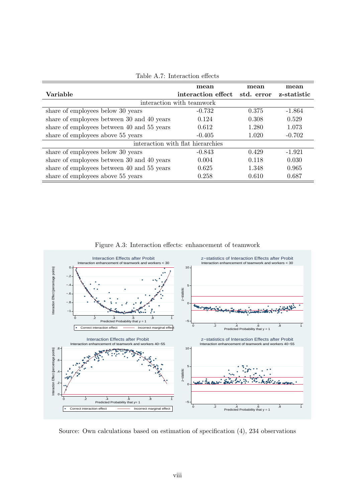|                                            | mean                              | mean       | mean        |
|--------------------------------------------|-----------------------------------|------------|-------------|
| Variable                                   | interaction effect                | std. error | z-statistic |
|                                            | interaction with teamwork         |            |             |
| share of employees below 30 years          | $-0.732$                          | 0.375      | $-1.864$    |
| share of employees between 30 and 40 years | 0.124                             | 0.308      | 0.529       |
| share of employees between 40 and 55 years | 0.612                             | 1.280      | 1.073       |
| share of employees above 55 years          | $-0.405$                          | 1.020      | $-0.702$    |
|                                            | interaction with flat hierarchies |            |             |
| share of employees below 30 years          | $-0.843$                          | 0.429      | $-1.921$    |
| share of employees between 30 and 40 years | 0.004                             | 0.118      | 0.030       |
| share of employees between 40 and 55 years | 0.625                             | 1.348      | 0.965       |
| share of employees above 55 years          | 0.258                             | 0.610      | 0.687       |

<span id="page-28-0"></span>Table A.7: Interaction effects

<span id="page-28-1"></span>Figure A.3: Interaction effects: enhancement of teamwork



Source: Own calculations based on estimation of specification (4), 234 observations